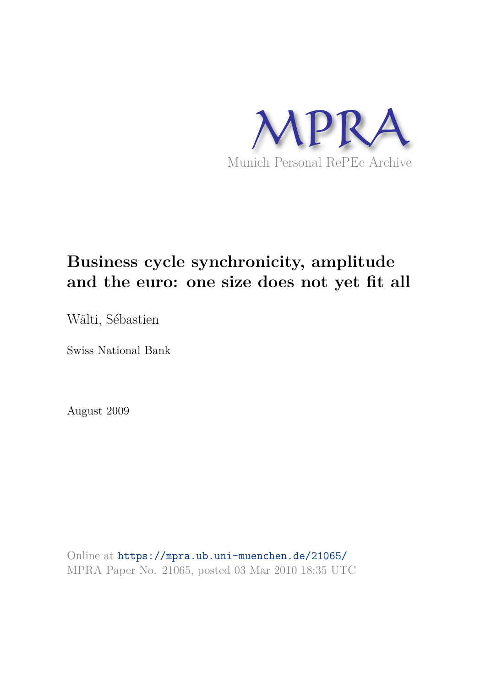

# **Business cycle synchronicity, amplitude and the euro: one size does not yet fit all**

Wälti, Sébastien

Swiss National Bank

August 2009

Online at https://mpra.ub.uni-muenchen.de/21065/ MPRA Paper No. 21065, posted 03 Mar 2010 18:35 UTC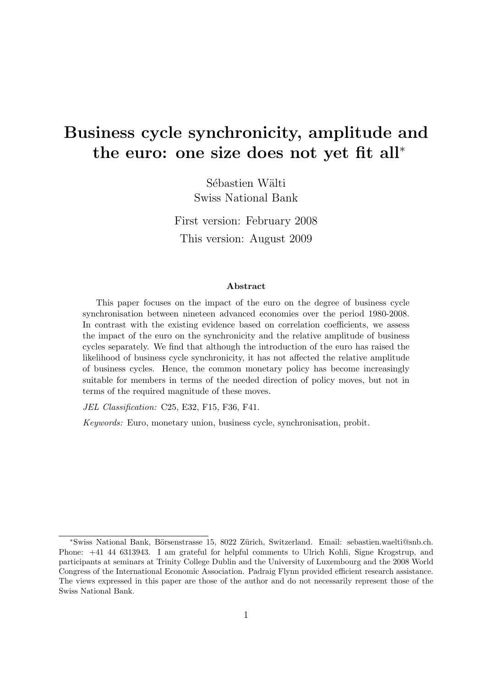## Business cycle synchronicity, amplitude and the euro: one size does not yet fit all<sup>∗</sup>

Sébastien Wälti Swiss National Bank

First version: February 2008 This version: August 2009

#### Abstract

This paper focuses on the impact of the euro on the degree of business cycle synchronisation between nineteen advanced economies over the period 1980-2008. In contrast with the existing evidence based on correlation coefficients, we assess the impact of the euro on the synchronicity and the relative amplitude of business cycles separately. We find that although the introduction of the euro has raised the likelihood of business cycle synchronicity, it has not affected the relative amplitude of business cycles. Hence, the common monetary policy has become increasingly suitable for members in terms of the needed direction of policy moves, but not in terms of the required magnitude of these moves.

JEL Classification: C25, E32, F15, F36, F41.

Keywords: Euro, monetary union, business cycle, synchronisation, probit.

<sup>∗</sup>Swiss National Bank, B¨orsenstrasse 15, 8022 Z¨urich, Switzerland. Email: sebastien.waelti@snb.ch. Phone: +41 44 6313943. I am grateful for helpful comments to Ulrich Kohli, Signe Krogstrup, and participants at seminars at Trinity College Dublin and the University of Luxembourg and the 2008 World Congress of the International Economic Association. Padraig Flynn provided efficient research assistance. The views expressed in this paper are those of the author and do not necessarily represent those of the Swiss National Bank.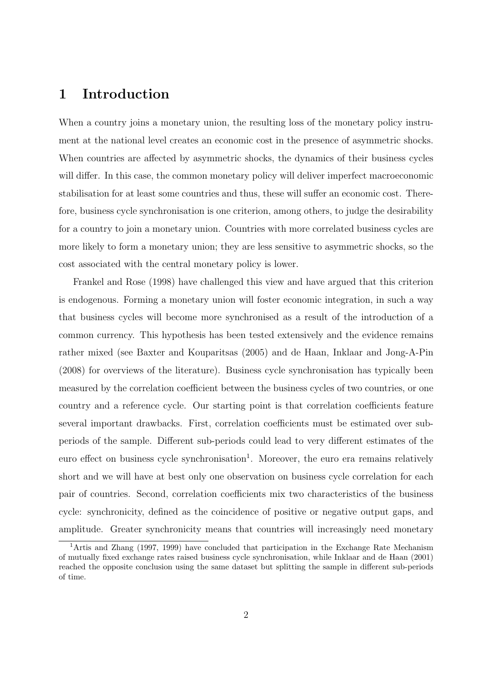#### 1 Introduction

When a country joins a monetary union, the resulting loss of the monetary policy instrument at the national level creates an economic cost in the presence of asymmetric shocks. When countries are affected by asymmetric shocks, the dynamics of their business cycles will differ. In this case, the common monetary policy will deliver imperfect macroeconomic stabilisation for at least some countries and thus, these will suffer an economic cost. Therefore, business cycle synchronisation is one criterion, among others, to judge the desirability for a country to join a monetary union. Countries with more correlated business cycles are more likely to form a monetary union; they are less sensitive to asymmetric shocks, so the cost associated with the central monetary policy is lower.

Frankel and Rose (1998) have challenged this view and have argued that this criterion is endogenous. Forming a monetary union will foster economic integration, in such a way that business cycles will become more synchronised as a result of the introduction of a common currency. This hypothesis has been tested extensively and the evidence remains rather mixed (see Baxter and Kouparitsas (2005) and de Haan, Inklaar and Jong-A-Pin (2008) for overviews of the literature). Business cycle synchronisation has typically been measured by the correlation coefficient between the business cycles of two countries, or one country and a reference cycle. Our starting point is that correlation coefficients feature several important drawbacks. First, correlation coefficients must be estimated over subperiods of the sample. Different sub-periods could lead to very different estimates of the euro effect on business cycle synchronisation<sup>1</sup>. Moreover, the euro era remains relatively short and we will have at best only one observation on business cycle correlation for each pair of countries. Second, correlation coefficients mix two characteristics of the business cycle: synchronicity, defined as the coincidence of positive or negative output gaps, and amplitude. Greater synchronicity means that countries will increasingly need monetary

<sup>&</sup>lt;sup>1</sup>Artis and Zhang (1997, 1999) have concluded that participation in the Exchange Rate Mechanism of mutually fixed exchange rates raised business cycle synchronisation, while Inklaar and de Haan (2001) reached the opposite conclusion using the same dataset but splitting the sample in different sub-periods of time.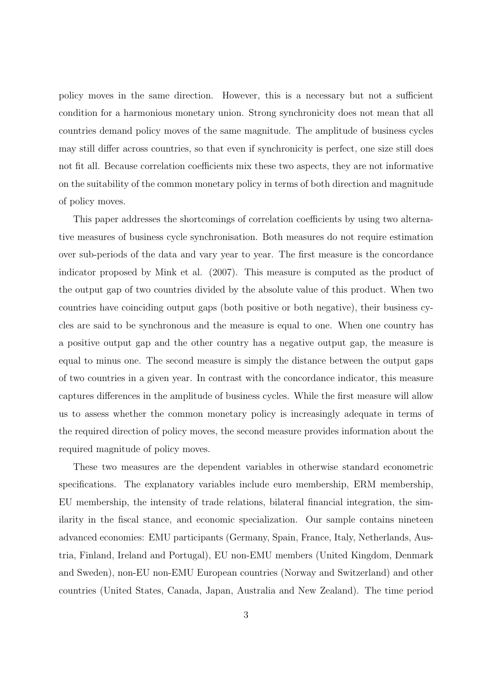policy moves in the same direction. However, this is a necessary but not a sufficient condition for a harmonious monetary union. Strong synchronicity does not mean that all countries demand policy moves of the same magnitude. The amplitude of business cycles may still differ across countries, so that even if synchronicity is perfect, one size still does not fit all. Because correlation coefficients mix these two aspects, they are not informative on the suitability of the common monetary policy in terms of both direction and magnitude of policy moves.

This paper addresses the shortcomings of correlation coefficients by using two alternative measures of business cycle synchronisation. Both measures do not require estimation over sub-periods of the data and vary year to year. The first measure is the concordance indicator proposed by Mink et al. (2007). This measure is computed as the product of the output gap of two countries divided by the absolute value of this product. When two countries have coinciding output gaps (both positive or both negative), their business cycles are said to be synchronous and the measure is equal to one. When one country has a positive output gap and the other country has a negative output gap, the measure is equal to minus one. The second measure is simply the distance between the output gaps of two countries in a given year. In contrast with the concordance indicator, this measure captures differences in the amplitude of business cycles. While the first measure will allow us to assess whether the common monetary policy is increasingly adequate in terms of the required direction of policy moves, the second measure provides information about the required magnitude of policy moves.

These two measures are the dependent variables in otherwise standard econometric specifications. The explanatory variables include euro membership, ERM membership, EU membership, the intensity of trade relations, bilateral financial integration, the similarity in the fiscal stance, and economic specialization. Our sample contains nineteen advanced economies: EMU participants (Germany, Spain, France, Italy, Netherlands, Austria, Finland, Ireland and Portugal), EU non-EMU members (United Kingdom, Denmark and Sweden), non-EU non-EMU European countries (Norway and Switzerland) and other countries (United States, Canada, Japan, Australia and New Zealand). The time period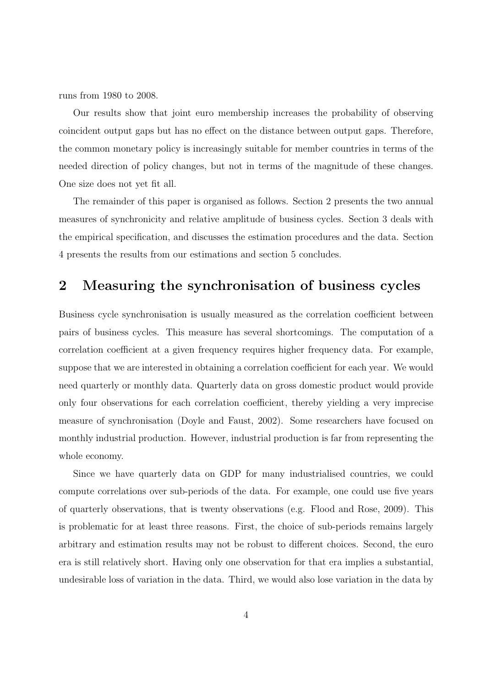runs from 1980 to 2008.

Our results show that joint euro membership increases the probability of observing coincident output gaps but has no effect on the distance between output gaps. Therefore, the common monetary policy is increasingly suitable for member countries in terms of the needed direction of policy changes, but not in terms of the magnitude of these changes. One size does not yet fit all.

The remainder of this paper is organised as follows. Section 2 presents the two annual measures of synchronicity and relative amplitude of business cycles. Section 3 deals with the empirical specification, and discusses the estimation procedures and the data. Section 4 presents the results from our estimations and section 5 concludes.

### 2 Measuring the synchronisation of business cycles

Business cycle synchronisation is usually measured as the correlation coefficient between pairs of business cycles. This measure has several shortcomings. The computation of a correlation coefficient at a given frequency requires higher frequency data. For example, suppose that we are interested in obtaining a correlation coefficient for each year. We would need quarterly or monthly data. Quarterly data on gross domestic product would provide only four observations for each correlation coefficient, thereby yielding a very imprecise measure of synchronisation (Doyle and Faust, 2002). Some researchers have focused on monthly industrial production. However, industrial production is far from representing the whole economy.

Since we have quarterly data on GDP for many industrialised countries, we could compute correlations over sub-periods of the data. For example, one could use five years of quarterly observations, that is twenty observations (e.g. Flood and Rose, 2009). This is problematic for at least three reasons. First, the choice of sub-periods remains largely arbitrary and estimation results may not be robust to different choices. Second, the euro era is still relatively short. Having only one observation for that era implies a substantial, undesirable loss of variation in the data. Third, we would also lose variation in the data by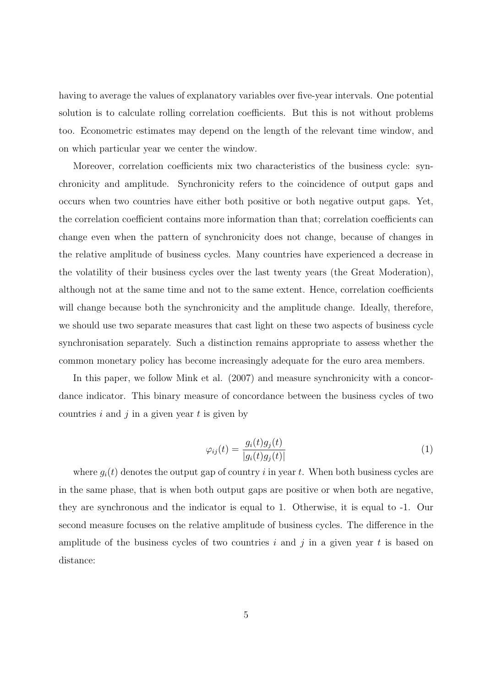having to average the values of explanatory variables over five-year intervals. One potential solution is to calculate rolling correlation coefficients. But this is not without problems too. Econometric estimates may depend on the length of the relevant time window, and on which particular year we center the window.

Moreover, correlation coefficients mix two characteristics of the business cycle: synchronicity and amplitude. Synchronicity refers to the coincidence of output gaps and occurs when two countries have either both positive or both negative output gaps. Yet, the correlation coefficient contains more information than that; correlation coefficients can change even when the pattern of synchronicity does not change, because of changes in the relative amplitude of business cycles. Many countries have experienced a decrease in the volatility of their business cycles over the last twenty years (the Great Moderation), although not at the same time and not to the same extent. Hence, correlation coefficients will change because both the synchronicity and the amplitude change. Ideally, therefore, we should use two separate measures that cast light on these two aspects of business cycle synchronisation separately. Such a distinction remains appropriate to assess whether the common monetary policy has become increasingly adequate for the euro area members.

In this paper, we follow Mink et al.  $(2007)$  and measure synchronicity with a concordance indicator. This binary measure of concordance between the business cycles of two countries  $i$  and  $j$  in a given year  $t$  is given by

$$
\varphi_{ij}(t) = \frac{g_i(t)g_j(t)}{|g_i(t)g_j(t)|} \tag{1}
$$

where  $q_i(t)$  denotes the output gap of country i in year t. When both business cycles are in the same phase, that is when both output gaps are positive or when both are negative, they are synchronous and the indicator is equal to 1. Otherwise, it is equal to -1. Our second measure focuses on the relative amplitude of business cycles. The difference in the amplitude of the business cycles of two countries i and j in a given year t is based on distance: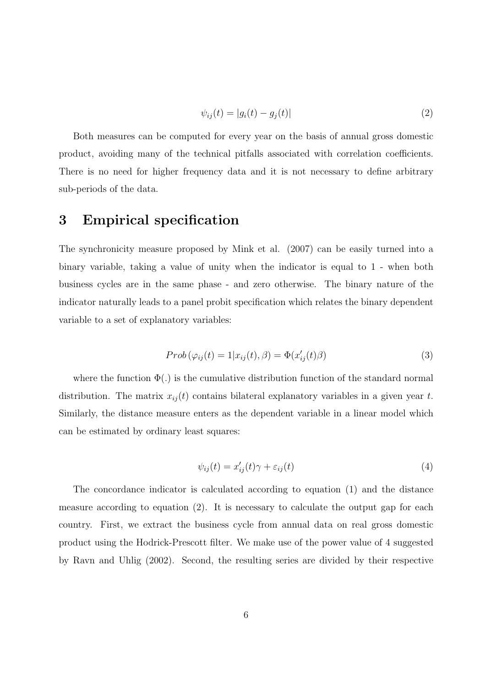$$
\psi_{ij}(t) = |g_i(t) - g_j(t)| \tag{2}
$$

Both measures can be computed for every year on the basis of annual gross domestic product, avoiding many of the technical pitfalls associated with correlation coefficients. There is no need for higher frequency data and it is not necessary to define arbitrary sub-periods of the data.

#### 3 Empirical specification

The synchronicity measure proposed by Mink et al. (2007) can be easily turned into a binary variable, taking a value of unity when the indicator is equal to 1 - when both business cycles are in the same phase - and zero otherwise. The binary nature of the indicator naturally leads to a panel probit specification which relates the binary dependent variable to a set of explanatory variables:

$$
Prob(\varphi_{ij}(t) = 1 | x_{ij}(t), \beta) = \Phi(x'_{ij}(t)\beta)
$$
\n(3)

where the function  $\Phi(.)$  is the cumulative distribution function of the standard normal distribution. The matrix  $x_{ij}(t)$  contains bilateral explanatory variables in a given year t. Similarly, the distance measure enters as the dependent variable in a linear model which can be estimated by ordinary least squares:

$$
\psi_{ij}(t) = x'_{ij}(t)\gamma + \varepsilon_{ij}(t) \tag{4}
$$

The concordance indicator is calculated according to equation (1) and the distance measure according to equation (2). It is necessary to calculate the output gap for each country. First, we extract the business cycle from annual data on real gross domestic product using the Hodrick-Prescott filter. We make use of the power value of 4 suggested by Ravn and Uhlig (2002). Second, the resulting series are divided by their respective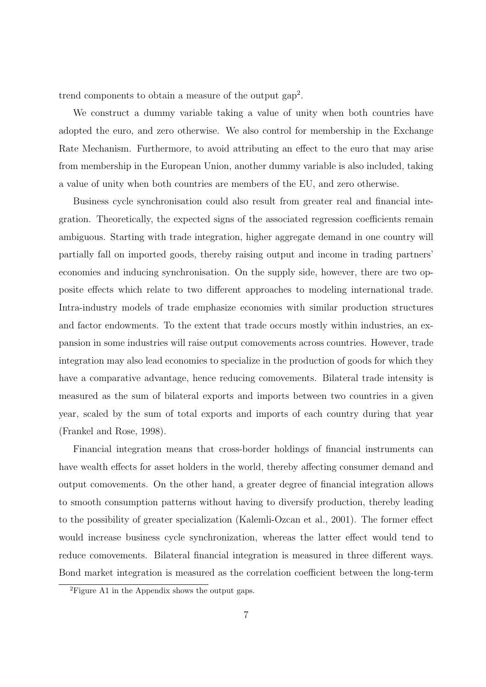trend components to obtain a measure of the output gap<sup>2</sup> .

We construct a dummy variable taking a value of unity when both countries have adopted the euro, and zero otherwise. We also control for membership in the Exchange Rate Mechanism. Furthermore, to avoid attributing an effect to the euro that may arise from membership in the European Union, another dummy variable is also included, taking a value of unity when both countries are members of the EU, and zero otherwise.

Business cycle synchronisation could also result from greater real and financial integration. Theoretically, the expected signs of the associated regression coefficients remain ambiguous. Starting with trade integration, higher aggregate demand in one country will partially fall on imported goods, thereby raising output and income in trading partners' economies and inducing synchronisation. On the supply side, however, there are two opposite effects which relate to two different approaches to modeling international trade. Intra-industry models of trade emphasize economies with similar production structures and factor endowments. To the extent that trade occurs mostly within industries, an expansion in some industries will raise output comovements across countries. However, trade integration may also lead economies to specialize in the production of goods for which they have a comparative advantage, hence reducing comovements. Bilateral trade intensity is measured as the sum of bilateral exports and imports between two countries in a given year, scaled by the sum of total exports and imports of each country during that year (Frankel and Rose, 1998).

Financial integration means that cross-border holdings of financial instruments can have wealth effects for asset holders in the world, thereby affecting consumer demand and output comovements. On the other hand, a greater degree of financial integration allows to smooth consumption patterns without having to diversify production, thereby leading to the possibility of greater specialization (Kalemli-Ozcan et al., 2001). The former effect would increase business cycle synchronization, whereas the latter effect would tend to reduce comovements. Bilateral financial integration is measured in three different ways. Bond market integration is measured as the correlation coefficient between the long-term

<sup>2</sup>Figure A1 in the Appendix shows the output gaps.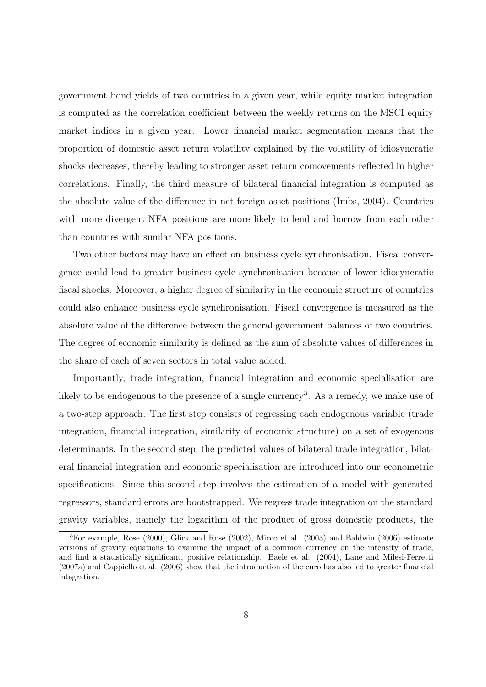government bond yields of two countries in a given year, while equity market integration is computed as the correlation coefficient between the weekly returns on the MSCI equity market indices in a given year. Lower financial market segmentation means that the proportion of domestic asset return volatility explained by the volatility of idiosyncratic shocks decreases, thereby leading to stronger asset return comovements reflected in higher correlations. Finally, the third measure of bilateral financial integration is computed as the absolute value of the difference in net foreign asset positions (Imbs, 2004). Countries with more divergent NFA positions are more likely to lend and borrow from each other than countries with similar NFA positions.

Two other factors may have an effect on business cycle synchronisation. Fiscal convergence could lead to greater business cycle synchronisation because of lower idiosyncratic fiscal shocks. Moreover, a higher degree of similarity in the economic structure of countries could also enhance business cycle synchronisation. Fiscal convergence is measured as the absolute value of the difference between the general government balances of two countries. The degree of economic similarity is defined as the sum of absolute values of differences in the share of each of seven sectors in total value added.

Importantly, trade integration, financial integration and economic specialisation are likely to be endogenous to the presence of a single currency<sup>3</sup>. As a remedy, we make use of a two-step approach. The first step consists of regressing each endogenous variable (trade integration, financial integration, similarity of economic structure) on a set of exogenous determinants. In the second step, the predicted values of bilateral trade integration, bilateral financial integration and economic specialisation are introduced into our econometric specifications. Since this second step involves the estimation of a model with generated regressors, standard errors are bootstrapped. We regress trade integration on the standard gravity variables, namely the logarithm of the product of gross domestic products, the

 ${}^{3}$ For example, Rose (2000), Glick and Rose (2002), Micco et al. (2003) and Baldwin (2006) estimate versions of gravity equations to examine the impact of a common currency on the intensity of trade, and find a statistically significant, positive relationship. Baele et al. (2004), Lane and Milesi-Ferretti (2007a) and Cappiello et al. (2006) show that the introduction of the euro has also led to greater financial integration.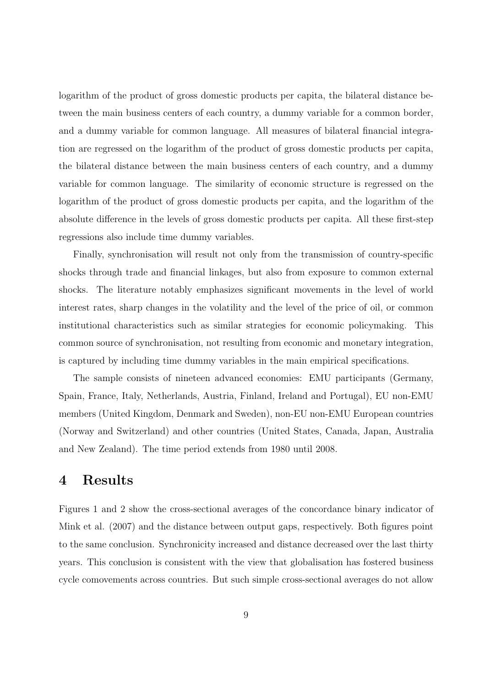logarithm of the product of gross domestic products per capita, the bilateral distance between the main business centers of each country, a dummy variable for a common border, and a dummy variable for common language. All measures of bilateral financial integration are regressed on the logarithm of the product of gross domestic products per capita, the bilateral distance between the main business centers of each country, and a dummy variable for common language. The similarity of economic structure is regressed on the logarithm of the product of gross domestic products per capita, and the logarithm of the absolute difference in the levels of gross domestic products per capita. All these first-step regressions also include time dummy variables.

Finally, synchronisation will result not only from the transmission of country-specific shocks through trade and financial linkages, but also from exposure to common external shocks. The literature notably emphasizes significant movements in the level of world interest rates, sharp changes in the volatility and the level of the price of oil, or common institutional characteristics such as similar strategies for economic policymaking. This common source of synchronisation, not resulting from economic and monetary integration, is captured by including time dummy variables in the main empirical specifications.

The sample consists of nineteen advanced economies: EMU participants (Germany, Spain, France, Italy, Netherlands, Austria, Finland, Ireland and Portugal), EU non-EMU members (United Kingdom, Denmark and Sweden), non-EU non-EMU European countries (Norway and Switzerland) and other countries (United States, Canada, Japan, Australia and New Zealand). The time period extends from 1980 until 2008.

#### 4 Results

Figures 1 and 2 show the cross-sectional averages of the concordance binary indicator of Mink et al. (2007) and the distance between output gaps, respectively. Both figures point to the same conclusion. Synchronicity increased and distance decreased over the last thirty years. This conclusion is consistent with the view that globalisation has fostered business cycle comovements across countries. But such simple cross-sectional averages do not allow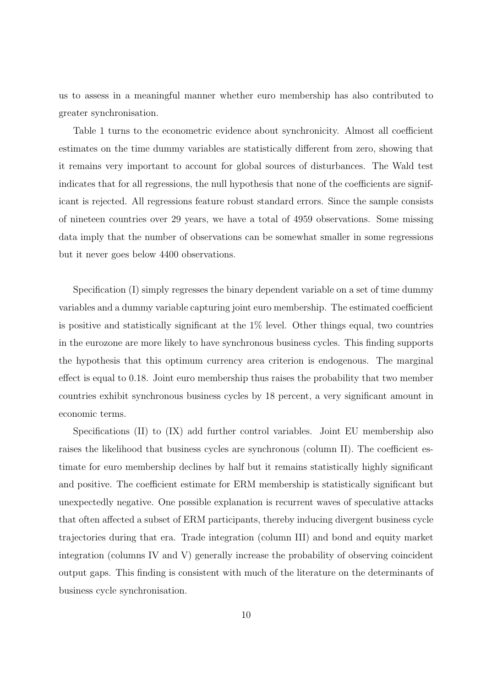us to assess in a meaningful manner whether euro membership has also contributed to greater synchronisation.

Table 1 turns to the econometric evidence about synchronicity. Almost all coefficient estimates on the time dummy variables are statistically different from zero, showing that it remains very important to account for global sources of disturbances. The Wald test indicates that for all regressions, the null hypothesis that none of the coefficients are significant is rejected. All regressions feature robust standard errors. Since the sample consists of nineteen countries over 29 years, we have a total of 4959 observations. Some missing data imply that the number of observations can be somewhat smaller in some regressions but it never goes below 4400 observations.

Specification (I) simply regresses the binary dependent variable on a set of time dummy variables and a dummy variable capturing joint euro membership. The estimated coefficient is positive and statistically significant at the 1% level. Other things equal, two countries in the eurozone are more likely to have synchronous business cycles. This finding supports the hypothesis that this optimum currency area criterion is endogenous. The marginal effect is equal to 0.18. Joint euro membership thus raises the probability that two member countries exhibit synchronous business cycles by 18 percent, a very significant amount in economic terms.

Specifications (II) to (IX) add further control variables. Joint EU membership also raises the likelihood that business cycles are synchronous (column II). The coefficient estimate for euro membership declines by half but it remains statistically highly significant and positive. The coefficient estimate for ERM membership is statistically significant but unexpectedly negative. One possible explanation is recurrent waves of speculative attacks that often affected a subset of ERM participants, thereby inducing divergent business cycle trajectories during that era. Trade integration (column III) and bond and equity market integration (columns IV and V) generally increase the probability of observing coincident output gaps. This finding is consistent with much of the literature on the determinants of business cycle synchronisation.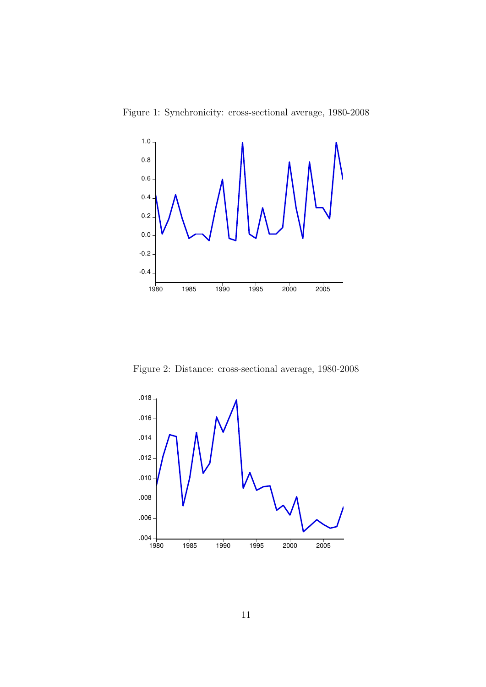



Figure 2: Distance: cross-sectional average, 1980-2008

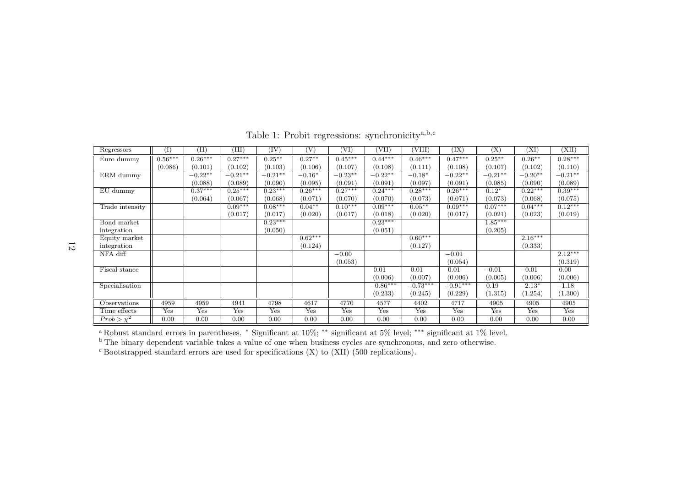| Regressors      | (I)       | $(\mathrm{II})$ | (III)      | (IV)       | (V)       | [VI]       | (VII)      | (VIII)     | (IX)       | (X)        | (XI)      | (XII)      |
|-----------------|-----------|-----------------|------------|------------|-----------|------------|------------|------------|------------|------------|-----------|------------|
| Euro dummy      | $0.56***$ | $0.26***$       | $0.27***$  | $0.25***$  | $0.27**$  | $0.45***$  | $0.44***$  | $0.46***$  | $0.47***$  | $0.25***$  | $0.26***$ | $0.28***$  |
|                 | (0.086)   | (0.101)         | (0.102)    | (0.103)    | (0.106)   | (0.107)    | (0.108)    | (0.111)    | (0.108)    | (0.107)    | (0.102)   | (0.110)    |
| ERM dummy       |           | $-0.22**$       | $-0.21***$ | $-0.21***$ | $-0.16*$  | $-0.23***$ | $-0.22**$  | $-0.18*$   | $-0.22**$  | $-0.21***$ | $-0.20**$ | $-0.21***$ |
|                 |           | (0.088)         | (0.089)    | (0.090)    | (0.095)   | (0.091)    | (0.091)    | (0.097)    | (0.091)    | (0.085)    | (0.090)   | (0.089)    |
| EU dummy        |           | $0.37***$       | $0.25***$  | $0.23***$  | $0.26***$ | $0.27***$  | $0.24***$  | $0.28***$  | $0.26***$  | $0.12*$    | $0.22***$ | $0.39***$  |
|                 |           | (0.064)         | (0.067)    | (0.068)    | (0.071)   | (0.070)    | (0.070)    | (0.073)    | (0.071)    | (0.073)    | (0.068)   | (0.075)    |
| Trade intensity |           |                 | $0.09***$  | $0.08***$  | $0.04***$ | $0.10***$  | $0.09***$  | $0.05***$  | $0.09***$  | $0.07***$  | $0.04***$ | $0.12***$  |
|                 |           |                 | (0.017)    | (0.017)    | (0.020)   | (0.017)    | (0.018)    | (0.020)    | (0.017)    | (0.021)    | (0.023)   | (0.019)    |
| Bond market     |           |                 |            | $0.23***$  |           |            | $0.23***$  |            |            | $1.85***$  |           |            |
| integration     |           |                 |            | (0.050)    |           |            | (0.051)    |            |            | (0.205)    |           |            |
| Equity market   |           |                 |            |            | $0.62***$ |            |            | $0.60***$  |            |            | $2.16***$ |            |
| integration     |           |                 |            |            | (0.124)   |            |            | (0.127)    |            |            | (0.333)   |            |
| NFA diff        |           |                 |            |            |           | $-0.00$    |            |            | $-0.01$    |            |           | $2.12***$  |
|                 |           |                 |            |            |           | (0.053)    |            |            | (0.054)    |            |           | (0.319)    |
| Fiscal stance   |           |                 |            |            |           |            | 0.01       | 0.01       | 0.01       | $-0.01$    | $-0.01$   | 0.00       |
|                 |           |                 |            |            |           |            | (0.006)    | (0.007)    | (0.006)    | (0.005)    | (0.006)   | (0.006)    |
| Specialisation  |           |                 |            |            |           |            | $-0.86***$ | $-0.73***$ | $-0.91***$ | 0.19       | $-2.13*$  | $-1.18$    |
|                 |           |                 |            |            |           |            | (0.233)    | (0.245)    | (0.229)    | (1.315)    | (1.254)   | (1.300)    |
| Observations    | 4959      | 4959            | 4941       | 4798       | 4617      | 4770       | 4577       | 4402       | 4717       | 4905       | 4905      | 4905       |
| Time effects    | Yes       | Yes             | Yes        | Yes        | Yes       | Yes        | Yes        | Yes        | Yes        | Yes        | Yes       | Yes        |
| $Prob > \chi^2$ | 0.00      | 0.00            | 0.00       | 0.00       | 0.00      | 0.00       | 0.00       | 0.00       | 0.00       | 0.00       | 0.00      | 0.00       |

Table 1: Probit regressions: synchronicity<sup>a,b,c</sup>

<sup>a</sup> Robust standard errors in parentheses. \* Significant at  $10\%$ ; \*\* significant at 5% level; \*\*\* significant at 1% level.<br><sup>b</sup> The binary dependent variable takes a value of one when business cycles are synchronous, and

 $\rm{c}$  Bootstrapped standard errors are used for specifications (X) to (XII) (500 replications).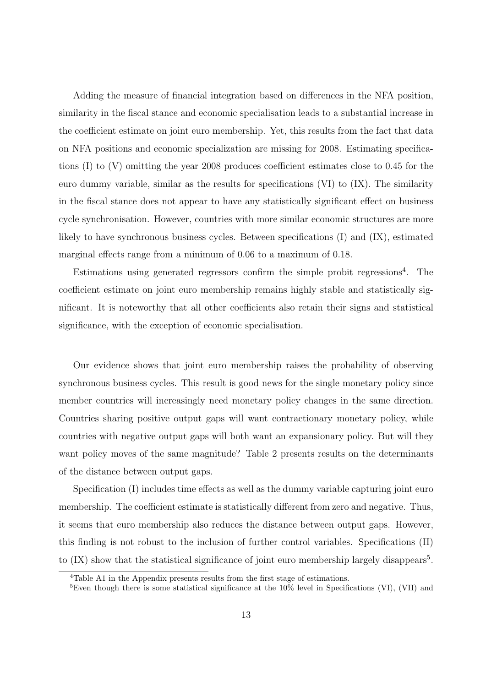Adding the measure of financial integration based on differences in the NFA position, similarity in the fiscal stance and economic specialisation leads to a substantial increase in the coefficient estimate on joint euro membership. Yet, this results from the fact that data on NFA positions and economic specialization are missing for 2008. Estimating specifications (I) to (V) omitting the year 2008 produces coefficient estimates close to 0.45 for the euro dummy variable, similar as the results for specifications (VI) to (IX). The similarity in the fiscal stance does not appear to have any statistically significant effect on business cycle synchronisation. However, countries with more similar economic structures are more likely to have synchronous business cycles. Between specifications (I) and (IX), estimated marginal effects range from a minimum of 0.06 to a maximum of 0.18.

Estimations using generated regressors confirm the simple probit regressions<sup>4</sup>. The coefficient estimate on joint euro membership remains highly stable and statistically significant. It is noteworthy that all other coefficients also retain their signs and statistical significance, with the exception of economic specialisation.

Our evidence shows that joint euro membership raises the probability of observing synchronous business cycles. This result is good news for the single monetary policy since member countries will increasingly need monetary policy changes in the same direction. Countries sharing positive output gaps will want contractionary monetary policy, while countries with negative output gaps will both want an expansionary policy. But will they want policy moves of the same magnitude? Table 2 presents results on the determinants of the distance between output gaps.

Specification (I) includes time effects as well as the dummy variable capturing joint euro membership. The coefficient estimate is statistically different from zero and negative. Thus, it seems that euro membership also reduces the distance between output gaps. However, this finding is not robust to the inclusion of further control variables. Specifications (II) to  $(IX)$  show that the statistical significance of joint euro membership largely disappears<sup>5</sup>.

<sup>4</sup>Table A1 in the Appendix presents results from the first stage of estimations.

<sup>&</sup>lt;sup>5</sup>Even though there is some statistical significance at the  $10\%$  level in Specifications (VI), (VII) and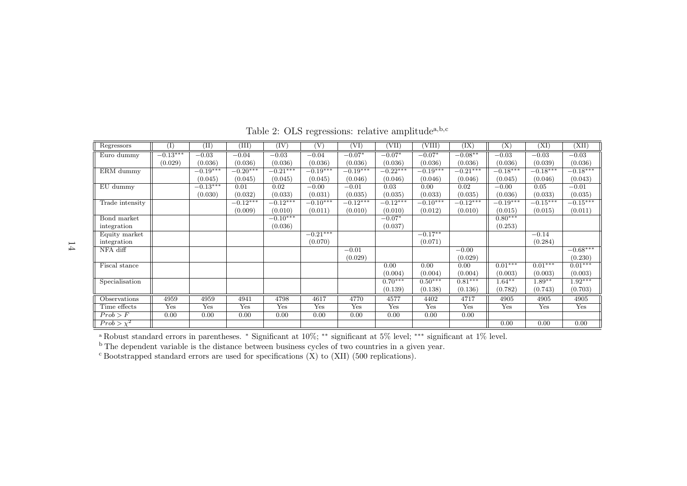| Regressors            | (I)        | (II)       | (III)      | $(\mathrm{IV})$ | $\overline{\rm (V)}$ | (VI)       | (VII)      | (VIII)     | $(\overline{\text{IX}})$ | (X)        | (XI        | (XII)      |
|-----------------------|------------|------------|------------|-----------------|----------------------|------------|------------|------------|--------------------------|------------|------------|------------|
| Euro dummy            | $-0.13***$ | $-0.03$    | $-0.04$    | $-0.03$         | $-0.04$              | $-0.07*$   | $-0.07*$   | $-0.07*$   | $-0.08**$                | $-0.03$    | $-0.03$    | $-0.03$    |
|                       | (0.029)    | (0.036)    | (0.036)    | (0.036)         | (0.036)              | (0.036)    | (0.036)    | (0.036)    | (0.036)                  | (0.036)    | (0.039)    | (0.036)    |
| ERM dummy             |            | $-0.19***$ | $-0.20***$ | $-0.21***$      | $-0.19***$           | $-0.19***$ | $-0.22***$ | $-0.19***$ | $-0.21***$               | $-0.18***$ | $-0.18***$ | $-0.18***$ |
|                       |            | (0.045)    | (0.045)    | (0.045)         | (0.045)              | (0.046)    | (0.046)    | (0.046)    | (0.046)                  | (0.045)    | (0.046)    | (0.043)    |
| $\overline{EU}$ dummy |            | $-0.13***$ | 0.01       | 0.02            | $-0.00$              | $-0.01$    | 0.03       | 0.00       | 0.02                     | $-0.00$    | 0.05       | $-0.01$    |
|                       |            | (0.030)    | (0.032)    | (0.033)         | (0.031)              | (0.035)    | (0.035)    | (0.033)    | (0.035)                  | (0.036)    | (0.033)    | (0.035)    |
| Trade intensity       |            |            | $-0.12***$ | $-0.12***$      | $-0.10***$           | $-0.12***$ | $-0.12***$ | $-0.10***$ | $-0.12***$               | $-0.19***$ | $-0.15***$ | $-0.15***$ |
|                       |            |            | (0.009)    | (0.010)         | (0.011)              | (0.010)    | (0.010)    | (0.012)    | (0.010)                  | (0.015)    | (0.015)    | (0.011)    |
| Bond market           |            |            |            | $-0.10***$      |                      |            | $-0.07*$   |            |                          | $0.80***$  |            |            |
| integration           |            |            |            | (0.036)         |                      |            | (0.037)    |            |                          | (0.253)    |            |            |
| Equity market         |            |            |            |                 | $-0.21***$           |            |            | $-0.17**$  |                          |            | $-0.14$    |            |
| integration           |            |            |            |                 | (0.070)              |            |            | (0.071)    |                          |            | (0.284)    |            |
| NFA diff              |            |            |            |                 |                      | $-0.01$    |            |            | $-0.00$                  |            |            | $-0.68***$ |
|                       |            |            |            |                 |                      | (0.029)    |            |            | (0.029)                  |            |            | (0.230)    |
| Fiscal stance         |            |            |            |                 |                      |            | 0.00       | 0.00       | 0.00                     | $0.01***$  | $0.01***$  | $0.01***$  |
|                       |            |            |            |                 |                      |            | (0.004)    | (0.004)    | (0.004)                  | (0.003)    | (0.003)    | (0.003)    |
| Specialisation        |            |            |            |                 |                      |            | $0.70***$  | $0.50***$  | $0.81***$                | $1.64***$  | $1.89**$   | $1.92***$  |
|                       |            |            |            |                 |                      |            | (0.139)    | (0.138)    | (0.136)                  | (0.782)    | (0.743)    | (0.703)    |
| Observations          | 4959       | 4959       | 4941       | 4798            | 4617                 | 4770       | 4577       | 4402       | 4717                     | 4905       | 4905       | 4905       |
| Time effects          | Yes        | Yes        | Yes        | Yes             | Yes                  | Yes        | Yes        | Yes        | Yes                      | Yes        | Yes        | Yes        |
| Prob > F              | 0.00       | 0.00       | 0.00       | 0.00            | 0.00                 | 0.00       | 0.00       | 0.00       | 0.00                     |            |            |            |
| $Prob > x^2$          |            |            |            |                 |                      |            |            |            |                          | 0.00       | 0.00       | 0.00       |

Table 2: OLS regressions: relative amplitude<sup>a,b,c</sup>

a Robust standard errors in parentheses. <sup>∗</sup> Significant at 10%; ∗∗ significant at 5% level; ∗∗∗ significant at 1% level. b The dependent variable is the distance between business cycles of two countries in <sup>a</sup> <sup>g</sup>iven year.

 $\rm{c}$  Bootstrapped standard errors are used for specifications (X) to (XII) (500 replications).

14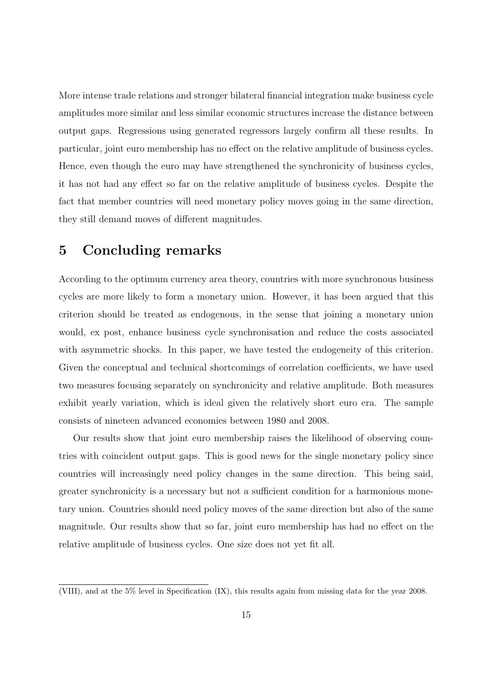More intense trade relations and stronger bilateral financial integration make business cycle amplitudes more similar and less similar economic structures increase the distance between output gaps. Regressions using generated regressors largely confirm all these results. In particular, joint euro membership has no effect on the relative amplitude of business cycles. Hence, even though the euro may have strengthened the synchronicity of business cycles, it has not had any effect so far on the relative amplitude of business cycles. Despite the fact that member countries will need monetary policy moves going in the same direction, they still demand moves of different magnitudes.

#### 5 Concluding remarks

According to the optimum currency area theory, countries with more synchronous business cycles are more likely to form a monetary union. However, it has been argued that this criterion should be treated as endogenous, in the sense that joining a monetary union would, ex post, enhance business cycle synchronisation and reduce the costs associated with asymmetric shocks. In this paper, we have tested the endogeneity of this criterion. Given the conceptual and technical shortcomings of correlation coefficients, we have used two measures focusing separately on synchronicity and relative amplitude. Both measures exhibit yearly variation, which is ideal given the relatively short euro era. The sample consists of nineteen advanced economies between 1980 and 2008.

Our results show that joint euro membership raises the likelihood of observing countries with coincident output gaps. This is good news for the single monetary policy since countries will increasingly need policy changes in the same direction. This being said, greater synchronicity is a necessary but not a sufficient condition for a harmonious monetary union. Countries should need policy moves of the same direction but also of the same magnitude. Our results show that so far, joint euro membership has had no effect on the relative amplitude of business cycles. One size does not yet fit all.

<sup>(</sup>VIII), and at the 5% level in Specification (IX), this results again from missing data for the year 2008.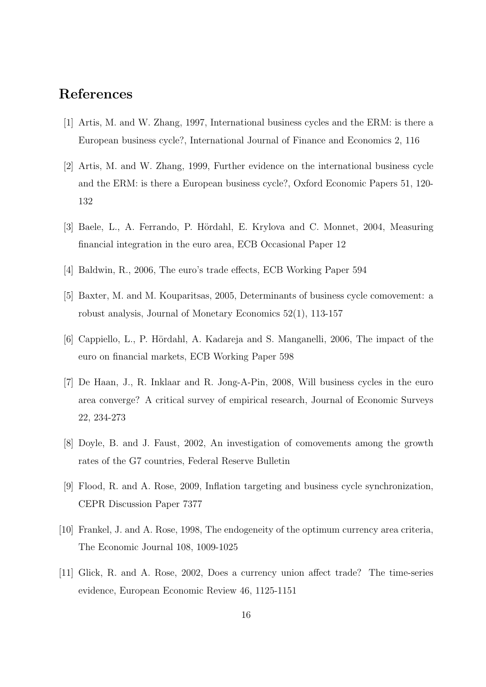#### References

- [1] Artis, M. and W. Zhang, 1997, International business cycles and the ERM: is there a European business cycle?, International Journal of Finance and Economics 2, 116
- [2] Artis, M. and W. Zhang, 1999, Further evidence on the international business cycle and the ERM: is there a European business cycle?, Oxford Economic Papers 51, 120- 132
- [3] Baele, L., A. Ferrando, P. Hördahl, E. Krylova and C. Monnet, 2004, Measuring financial integration in the euro area, ECB Occasional Paper 12
- [4] Baldwin, R., 2006, The euro's trade effects, ECB Working Paper 594
- [5] Baxter, M. and M. Kouparitsas, 2005, Determinants of business cycle comovement: a robust analysis, Journal of Monetary Economics 52(1), 113-157
- [6] Cappiello, L., P. Hördahl, A. Kadareja and S. Manganelli, 2006, The impact of the euro on financial markets, ECB Working Paper 598
- [7] De Haan, J., R. Inklaar and R. Jong-A-Pin, 2008, Will business cycles in the euro area converge? A critical survey of empirical research, Journal of Economic Surveys 22, 234-273
- [8] Doyle, B. and J. Faust, 2002, An investigation of comovements among the growth rates of the G7 countries, Federal Reserve Bulletin
- [9] Flood, R. and A. Rose, 2009, Inflation targeting and business cycle synchronization, CEPR Discussion Paper 7377
- [10] Frankel, J. and A. Rose, 1998, The endogeneity of the optimum currency area criteria, The Economic Journal 108, 1009-1025
- [11] Glick, R. and A. Rose, 2002, Does a currency union affect trade? The time-series evidence, European Economic Review 46, 1125-1151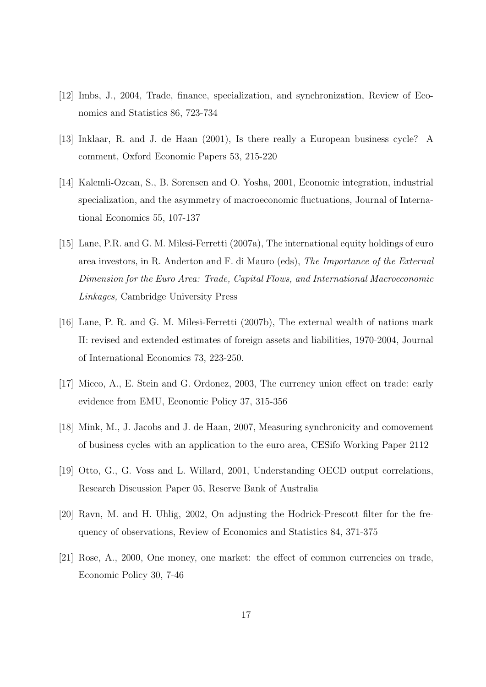- [12] Imbs, J., 2004, Trade, finance, specialization, and synchronization, Review of Economics and Statistics 86, 723-734
- [13] Inklaar, R. and J. de Haan (2001), Is there really a European business cycle? A comment, Oxford Economic Papers 53, 215-220
- [14] Kalemli-Ozcan, S., B. Sorensen and O. Yosha, 2001, Economic integration, industrial specialization, and the asymmetry of macroeconomic fluctuations, Journal of International Economics 55, 107-137
- [15] Lane, P.R. and G. M. Milesi-Ferretti (2007a), The international equity holdings of euro area investors, in R. Anderton and F. di Mauro (eds), The Importance of the External Dimension for the Euro Area: Trade, Capital Flows, and International Macroeconomic Linkages, Cambridge University Press
- [16] Lane, P. R. and G. M. Milesi-Ferretti (2007b), The external wealth of nations mark II: revised and extended estimates of foreign assets and liabilities, 1970-2004, Journal of International Economics 73, 223-250.
- [17] Micco, A., E. Stein and G. Ordonez, 2003, The currency union effect on trade: early evidence from EMU, Economic Policy 37, 315-356
- [18] Mink, M., J. Jacobs and J. de Haan, 2007, Measuring synchronicity and comovement of business cycles with an application to the euro area, CESifo Working Paper 2112
- [19] Otto, G., G. Voss and L. Willard, 2001, Understanding OECD output correlations, Research Discussion Paper 05, Reserve Bank of Australia
- [20] Ravn, M. and H. Uhlig, 2002, On adjusting the Hodrick-Prescott filter for the frequency of observations, Review of Economics and Statistics 84, 371-375
- [21] Rose, A., 2000, One money, one market: the effect of common currencies on trade, Economic Policy 30, 7-46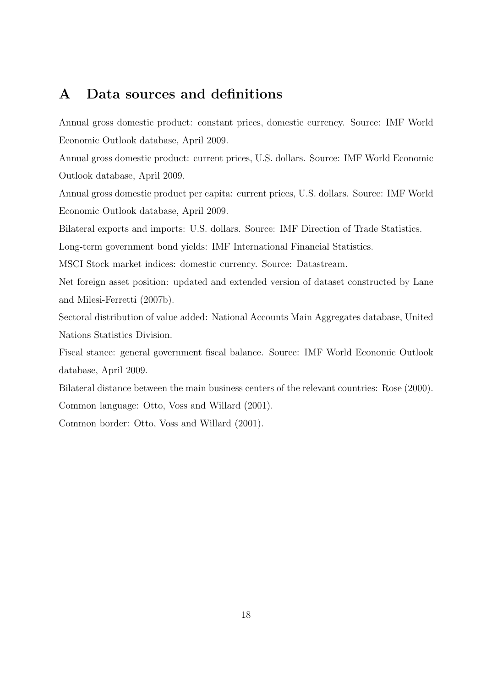#### A Data sources and definitions

Annual gross domestic product: constant prices, domestic currency. Source: IMF World Economic Outlook database, April 2009.

Annual gross domestic product: current prices, U.S. dollars. Source: IMF World Economic Outlook database, April 2009.

Annual gross domestic product per capita: current prices, U.S. dollars. Source: IMF World Economic Outlook database, April 2009.

Bilateral exports and imports: U.S. dollars. Source: IMF Direction of Trade Statistics.

Long-term government bond yields: IMF International Financial Statistics.

MSCI Stock market indices: domestic currency. Source: Datastream.

Net foreign asset position: updated and extended version of dataset constructed by Lane and Milesi-Ferretti (2007b).

Sectoral distribution of value added: National Accounts Main Aggregates database, United Nations Statistics Division.

Fiscal stance: general government fiscal balance. Source: IMF World Economic Outlook database, April 2009.

Bilateral distance between the main business centers of the relevant countries: Rose (2000). Common language: Otto, Voss and Willard (2001).

Common border: Otto, Voss and Willard (2001).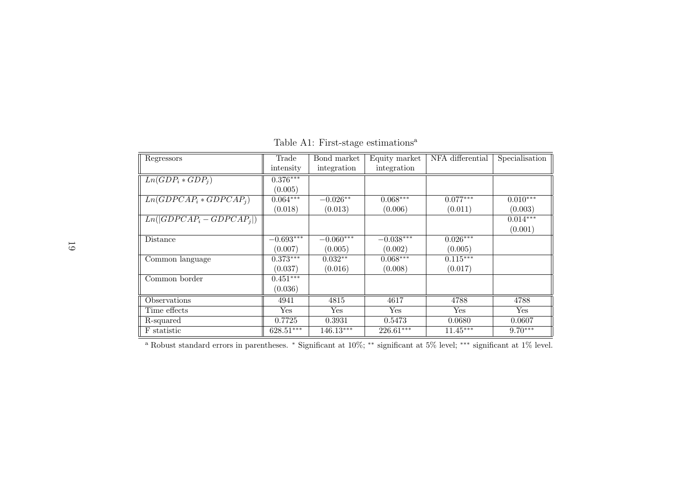| Regressors                         | Trade       | Bond market | Equity market | NFA differential | Specialisation |
|------------------------------------|-------------|-------------|---------------|------------------|----------------|
|                                    | intensity   | integration | integration   |                  |                |
| $Ln(\overline{GDP_i * GDP_j})$     | $0.376***$  |             |               |                  |                |
|                                    | (0.005)     |             |               |                  |                |
| $Ln(G\overline{DPCAP_i*GDPCAP_i})$ | $0.064***$  | $-0.026**$  | $0.068***$    | $0.077***$       | $0.010***$     |
|                                    | (0.018)     | (0.013)     | (0.006)       | (0.011)          | (0.003)        |
| $Ln( GDPCAP_i - GDPCAP_i )$        |             |             |               |                  | $0.014***$     |
|                                    |             |             |               |                  | (0.001)        |
| <b>Distance</b>                    | $-0.693***$ | $-0.060***$ | $-0.038***$   | $0.026***$       |                |
|                                    | (0.007)     | (0.005)     | (0.002)       | (0.005)          |                |
| Common language                    | $0.373***$  | $0.032**$   | $0.068***$    | $0.115***$       |                |
|                                    | (0.037)     | (0.016)     | (0.008)       | (0.017)          |                |
| Common border                      | $0.451***$  |             |               |                  |                |
|                                    | (0.036)     |             |               |                  |                |
| Observations                       | 4941        | 4815        | 4617          | 4788             | 4788           |
| Time effects                       | Yes         | Yes         | Yes           | Yes              | Yes            |
| R-squared                          | 0.7725      | 0.3931      | 0.5473        | 0.0680           | 0.0607         |
| F statistic                        | $628.51***$ | $146.13***$ | $226.61***$   | $11.45***$       | $9.70***$      |

Table A1: First-stage estimations<sup>a</sup>

a Robust standard errors in parentheses. <sup>∗</sup> Significant at 10%; ∗∗ significant at 5% level; ∗∗∗ significant at 1% level.